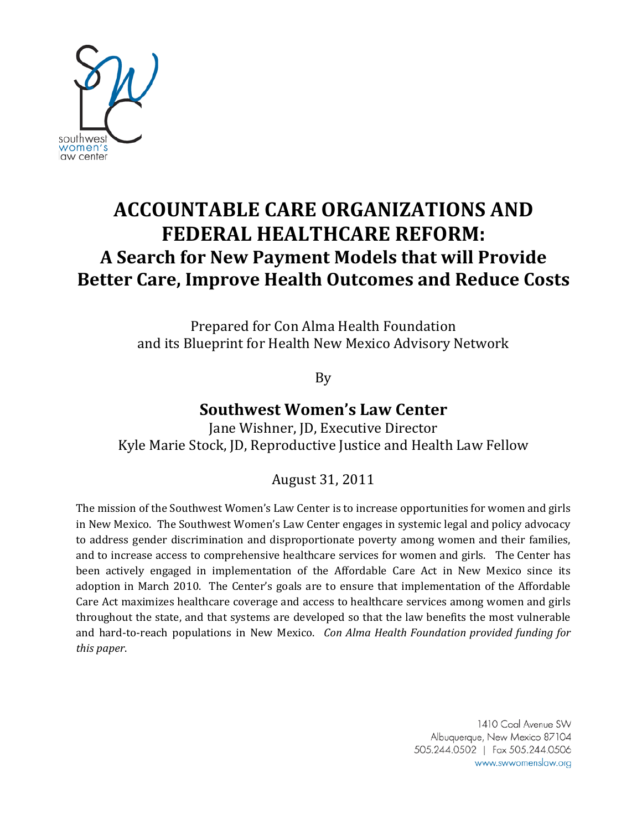

# **ACCOUNTABLE CARE ORGANIZATIONS AND FEDERAL HEALTHCARE REFORM: A Search for New Payment Models that will Provide Better Care, Improve Health Outcomes and Reduce Costs**

Prepared for Con Alma Health Foundation and its Blueprint for Health New Mexico Advisory Network

By

## **Southwest Women's Law Center**

Jane Wishner, JD, Executive Director Kyle Marie Stock, JD, Reproductive Justice and Health Law Fellow

## August 31, 2011

The mission of the Southwest Women's Law Center is to increase opportunities for women and girls in New Mexico. The Southwest Women's Law Center engages in systemic legal and policy advocacy to address gender discrimination and disproportionate poverty among women and their families, and to increase access to comprehensive healthcare services for women and girls. The Center has been actively engaged in implementation of the Affordable Care Act in New Mexico since its adoption in March 2010. The Center's goals are to ensure that implementation of the Affordable Care Act maximizes healthcare coverage and access to healthcare services among women and girls throughout the state, and that systems are developed so that the law benefits the most vulnerable and hard-to-reach populations in New Mexico. *Con Alma Health Foundation provided funding for this paper*.

> 1410 Coal Avenue SW Albuquerque, New Mexico 87104 505.244.0502 | Fax 505.244.0506 www.swwomenslaw.org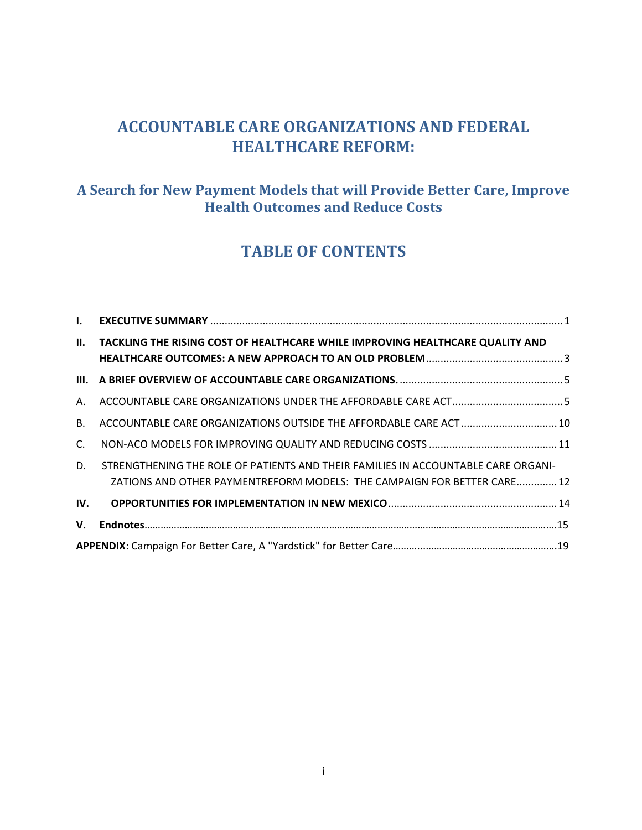## **ACCOUNTABLE CARE ORGANIZATIONS AND FEDERAL HEALTHCARE REFORM:**

## **A Search for New Payment Models that will Provide Better Care, Improve Health Outcomes and Reduce Costs**

## **TABLE OF CONTENTS**

| $\mathbf{L}$ |                                                                                                                                                              |  |  |
|--------------|--------------------------------------------------------------------------------------------------------------------------------------------------------------|--|--|
| II.          | TACKLING THE RISING COST OF HEALTHCARE WHILE IMPROVING HEALTHCARE QUALITY AND                                                                                |  |  |
|              |                                                                                                                                                              |  |  |
| А.           |                                                                                                                                                              |  |  |
| <b>B.</b>    | ACCOUNTABLE CARE ORGANIZATIONS OUTSIDE THE AFFORDABLE CARE ACT  10                                                                                           |  |  |
| $C_{\cdot}$  |                                                                                                                                                              |  |  |
| D.           | STRENGTHENING THE ROLE OF PATIENTS AND THEIR FAMILIES IN ACCOUNTABLE CARE ORGANI-<br>ZATIONS AND OTHER PAYMENTREFORM MODELS: THE CAMPAIGN FOR BETTER CARE 12 |  |  |
| IV.          |                                                                                                                                                              |  |  |
| <b>V.</b>    |                                                                                                                                                              |  |  |
|              |                                                                                                                                                              |  |  |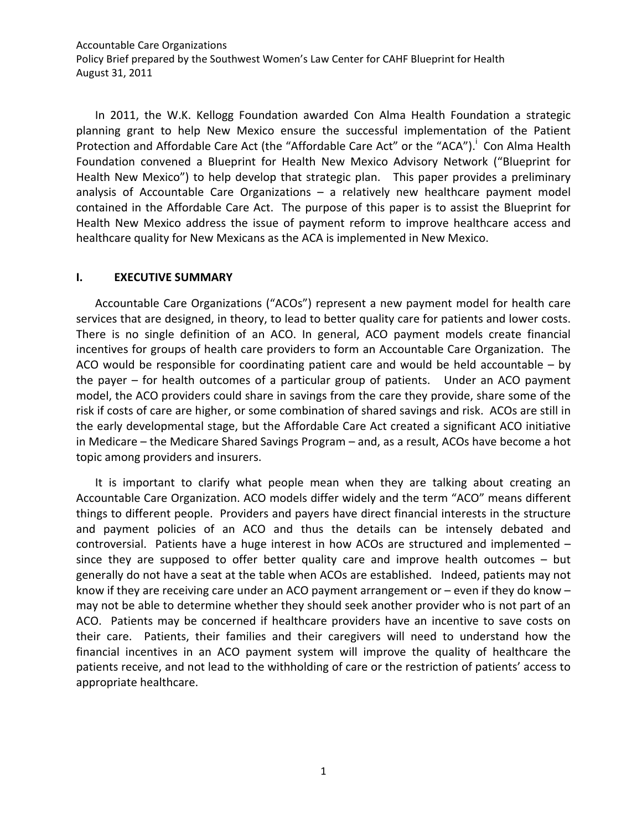In 2011, the W.K. Kellogg Foundation awarded Con Alma Health Foundation a strategic planning grant to help New Mexico ensure the successful implementation of the Patient Protection and Affordable Care Act (the "Affordable Care Act" or the "ACA").<sup>i</sup> Con Alma Health Foundation convened a Blueprint for Health New Mexico Advisory Network ("Blueprint for Health New Mexico") to help develop that strategic plan. This paper provides a preliminary analysis of Accountable Care Organizations – a relatively new healthcare payment model contained in the Affordable Care Act. The purpose of this paper is to assist the Blueprint for Health New Mexico address the issue of payment reform to improve healthcare access and healthcare quality for New Mexicans as the ACA is implemented in New Mexico.

### <span id="page-2-0"></span>**I. EXECUTIVE SUMMARY**

Accountable Care Organizations ("ACOs") represent a new payment model for health care services that are designed, in theory, to lead to better quality care for patients and lower costs. There is no single definition of an ACO. In general, ACO payment models create financial incentives for groups of health care providers to form an Accountable Care Organization. The ACO would be responsible for coordinating patient care and would be held accountable – by the payer – for health outcomes of a particular group of patients. Under an ACO payment model, the ACO providers could share in savings from the care they provide, share some of the risk if costs of care are higher, or some combination of shared savings and risk. ACOs are still in the early developmental stage, but the Affordable Care Act created a significant ACO initiative in Medicare – the Medicare Shared Savings Program – and, as a result, ACOs have become a hot topic among providers and insurers.

It is important to clarify what people mean when they are talking about creating an Accountable Care Organization. ACO models differ widely and the term "ACO" means different things to different people. Providers and payers have direct financial interests in the structure and payment policies of an ACO and thus the details can be intensely debated and controversial. Patients have a huge interest in how ACOs are structured and implemented – since they are supposed to offer better quality care and improve health outcomes – but generally do not have a seat at the table when ACOs are established. Indeed, patients may not know if they are receiving care under an ACO payment arrangement or – even if they do know – may not be able to determine whether they should seek another provider who is not part of an ACO. Patients may be concerned if healthcare providers have an incentive to save costs on their care. Patients, their families and their caregivers will need to understand how the financial incentives in an ACO payment system will improve the quality of healthcare the patients receive, and not lead to the withholding of care or the restriction of patients' access to appropriate healthcare.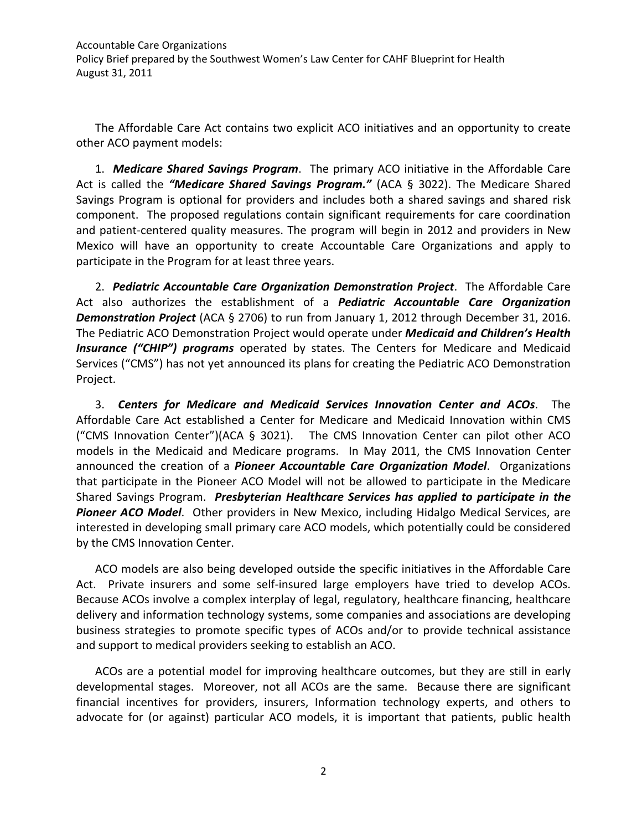The Affordable Care Act contains two explicit ACO initiatives and an opportunity to create other ACO payment models:

1. *Medicare Shared Savings Program*. The primary ACO initiative in the Affordable Care Act is called the *"Medicare Shared Savings Program."* (ACA § 3022). The Medicare Shared Savings Program is optional for providers and includes both a shared savings and shared risk component. The proposed regulations contain significant requirements for care coordination and patient-centered quality measures. The program will begin in 2012 and providers in New Mexico will have an opportunity to create Accountable Care Organizations and apply to participate in the Program for at least three years.

2. *Pediatric Accountable Care Organization Demonstration Project*. The Affordable Care Act also authorizes the establishment of a *Pediatric Accountable Care Organization Demonstration Project* (ACA § 2706) to run from January 1, 2012 through December 31, 2016. The Pediatric ACO Demonstration Project would operate under *Medicaid and Children's Health Insurance ("CHIP") programs* operated by states. The Centers for Medicare and Medicaid Services ("CMS") has not yet announced its plans for creating the Pediatric ACO Demonstration Project.

3. *Centers for Medicare and Medicaid Services Innovation Center and ACOs*. The Affordable Care Act established a Center for Medicare and Medicaid Innovation within CMS ("CMS Innovation Center")(ACA § 3021). The CMS Innovation Center can pilot other ACO models in the Medicaid and Medicare programs. In May 2011, the CMS Innovation Center announced the creation of a *Pioneer Accountable Care Organization Model*. Organizations that participate in the Pioneer ACO Model will not be allowed to participate in the Medicare Shared Savings Program. *Presbyterian Healthcare Services has applied to participate in the Pioneer ACO Model*. Other providers in New Mexico, including Hidalgo Medical Services, are interested in developing small primary care ACO models, which potentially could be considered by the CMS Innovation Center.

ACO models are also being developed outside the specific initiatives in the Affordable Care Act. Private insurers and some self-insured large employers have tried to develop ACOs. Because ACOs involve a complex interplay of legal, regulatory, healthcare financing, healthcare delivery and information technology systems, some companies and associations are developing business strategies to promote specific types of ACOs and/or to provide technical assistance and support to medical providers seeking to establish an ACO.

ACOs are a potential model for improving healthcare outcomes, but they are still in early developmental stages. Moreover, not all ACOs are the same. Because there are significant financial incentives for providers, insurers, Information technology experts, and others to advocate for (or against) particular ACO models, it is important that patients, public health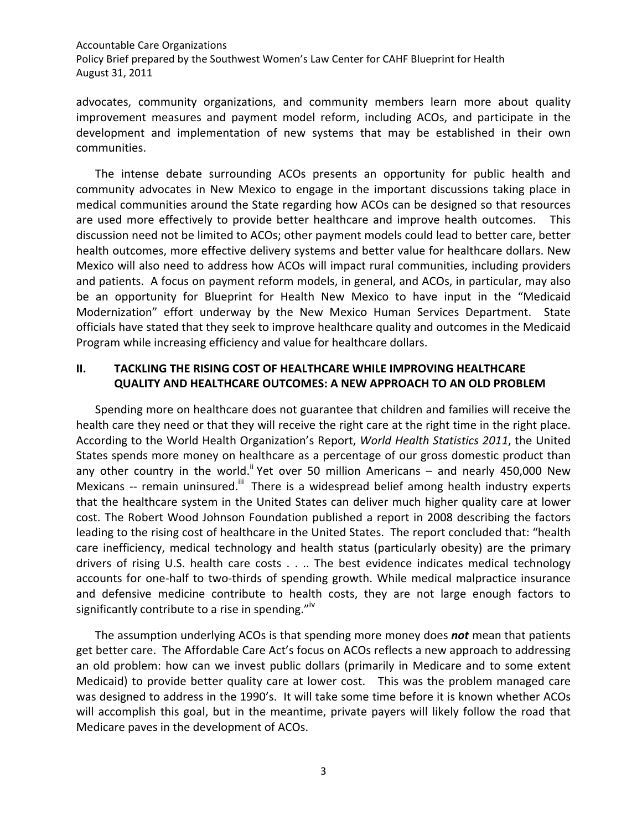advocates, community organizations, and community members learn more about quality improvement measures and payment model reform, including ACOs, and participate in the development and implementation of new systems that may be established in their own communities.

The intense debate surrounding ACOs presents an opportunity for public health and community advocates in New Mexico to engage in the important discussions taking place in medical communities around the State regarding how ACOs can be designed so that resources are used more effectively to provide better healthcare and improve health outcomes. This discussion need not be limited to ACOs; other payment models could lead to better care, better health outcomes, more effective delivery systems and better value for healthcare dollars. New Mexico will also need to address how ACOs will impact rural communities, including providers and patients. A focus on payment reform models, in general, and ACOs, in particular, may also be an opportunity for Blueprint for Health New Mexico to have input in the "Medicaid Modernization" effort underway by the New Mexico Human Services Department. State officials have stated that they seek to improve healthcare quality and outcomes in the Medicaid Program while increasing efficiency and value for healthcare dollars.

### <span id="page-4-0"></span>**II. TACKLING THE RISING COST OF HEALTHCARE WHILE IMPROVING HEALTHCARE QUALITY AND HEALTHCARE OUTCOMES: A NEW APPROACH TO AN OLD PROBLEM**

Spending more on healthcare does not guarantee that children and families will receive the health care they need or that they will receive the right care at the right time in the right place. According to the World Health Organization's Report, *World Health Statistics 2011*, the United States spends more money on healthcare as a percentage of our gross domestic product than any other country in the world.<sup>ii</sup> Yet over 50 million Americans – and nearly 450,000 New Mexicans -- remain uninsured.<sup>iii</sup> There is a widespread belief among health industry experts that the healthcare system in the United States can deliver much higher quality care at lower cost. The Robert Wood Johnson Foundation published a report in 2008 describing the factors leading to the rising cost of healthcare in the United States. The report concluded that: "health care inefficiency, medical technology and health status (particularly obesity) are the primary drivers of rising U.S. health care costs . . .. The best evidence indicates medical technology accounts for one-half to two-thirds of spending growth. While medical malpractice insurance and defensive medicine contribute to health costs, they are not large enough factors to significantly contribute to a rise in spending." $\mathbb{I}^{\mathbb{I}^{\mathbb{V}}}$ 

The assumption underlying ACOs is that spending more money does *not* mean that patients get better care. The Affordable Care Act's focus on ACOs reflects a new approach to addressing an old problem: how can we invest public dollars (primarily in Medicare and to some extent Medicaid) to provide better quality care at lower cost. This was the problem managed care was designed to address in the 1990's. It will take some time before it is known whether ACOs will accomplish this goal, but in the meantime, private payers will likely follow the road that Medicare paves in the development of ACOs.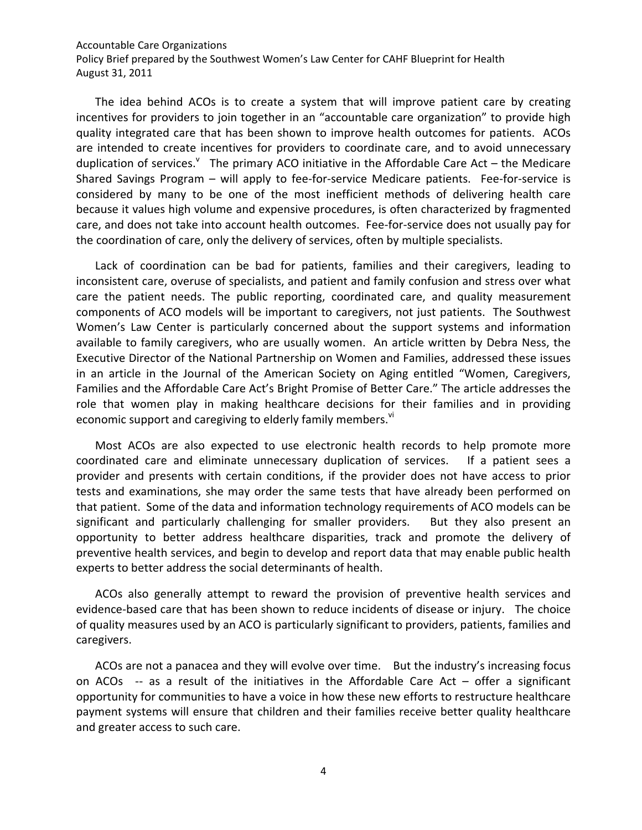Policy Brief prepared by the Southwest Women's Law Center for CAHF Blueprint for Health August 31, 2011

The idea behind ACOs is to create a system that will improve patient care by creating incentives for providers to join together in an "accountable care organization" to provide high quality integrated care that has been shown to improve health outcomes for patients. ACOs are intended to create incentives for providers to coordinate care, and to avoid unnecessary duplication of services. The primary ACO initiative in the Affordable Care Act – the Medicare Shared Savings Program – will apply to fee-for-service Medicare patients. Fee-for-service is considered by many to be one of the most inefficient methods of delivering health care because it values high volume and expensive procedures, is often characterized by fragmented care, and does not take into account health outcomes. Fee-for-service does not usually pay for the coordination of care, only the delivery of services, often by multiple specialists.

Lack of coordination can be bad for patients, families and their caregivers, leading to inconsistent care, overuse of specialists, and patient and family confusion and stress over what care the patient needs. The public reporting, coordinated care, and quality measurement components of ACO models will be important to caregivers, not just patients. The Southwest Women's Law Center is particularly concerned about the support systems and information available to family caregivers, who are usually women. An article written by Debra Ness, the Executive Director of the National Partnership on Women and Families, addressed these issues in an article in the Journal of the American Society on Aging entitled "Women, Caregivers, Families and the Affordable Care Act's Bright Promise of Better Care." The article addresses the role that women play in making healthcare decisions for their families and in providing economic support and caregiving to elderly family members.<sup>vi</sup>

Most ACOs are also expected to use electronic health records to help promote more coordinated care and eliminate unnecessary duplication of services. If a patient sees a provider and presents with certain conditions, if the provider does not have access to prior tests and examinations, she may order the same tests that have already been performed on that patient. Some of the data and information technology requirements of ACO models can be significant and particularly challenging for smaller providers. But they also present an opportunity to better address healthcare disparities, track and promote the delivery of preventive health services, and begin to develop and report data that may enable public health experts to better address the social determinants of health.

ACOs also generally attempt to reward the provision of preventive health services and evidence-based care that has been shown to reduce incidents of disease or injury. The choice of quality measures used by an ACO is particularly significant to providers, patients, families and caregivers.

ACOs are not a panacea and they will evolve over time. But the industry's increasing focus on ACOs  $-$ - as a result of the initiatives in the Affordable Care Act  $-$  offer a significant opportunity for communities to have a voice in how these new efforts to restructure healthcare payment systems will ensure that children and their families receive better quality healthcare and greater access to such care.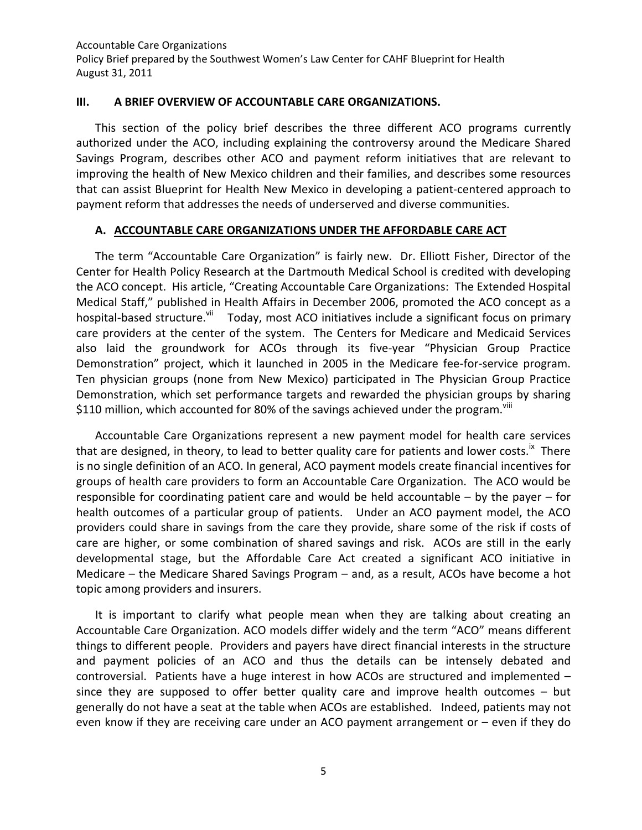#### <span id="page-6-0"></span>**III. A BRIEF OVERVIEW OF ACCOUNTABLE CARE ORGANIZATIONS.**

This section of the policy brief describes the three different ACO programs currently authorized under the ACO, including explaining the controversy around the Medicare Shared Savings Program, describes other ACO and payment reform initiatives that are relevant to improving the health of New Mexico children and their families, and describes some resources that can assist Blueprint for Health New Mexico in developing a patient-centered approach to payment reform that addresses the needs of underserved and diverse communities.

#### <span id="page-6-1"></span>**A. ACCOUNTABLE CARE ORGANIZATIONS UNDER THE AFFORDABLE CARE ACT**

The term "Accountable Care Organization" is fairly new. Dr. Elliott Fisher, Director of the Center for Health Policy Research at the Dartmouth Medical School is credited with developing the ACO concept. His article, "Creating Accountable Care Organizations: The Extended Hospital Medical Staff," published in Health Affairs in December 2006, promoted the ACO concept as a hospital-based structure.<sup>vii</sup> Today, most ACO initiatives include a significant focus on primary care providers at the center of the system. The Centers for Medicare and Medicaid Services also laid the groundwork for ACOs through its five-year "Physician Group Practice Demonstration" project, which it launched in 2005 in the Medicare fee-for-service program. Ten physician groups (none from New Mexico) participated in The Physician Group Practice Demonstration, which set performance targets and rewarded the physician groups by sharing \$110 million, which accounted for 80% of the savings achieved under the program. $\frac{v}{i}$ 

Accountable Care Organizations represent a new payment model for health care services that are designed, in theory, to lead to better quality care for patients and lower costs.<sup>ix</sup> There is no single definition of an ACO. In general, ACO payment models create financial incentives for groups of health care providers to form an Accountable Care Organization. The ACO would be responsible for coordinating patient care and would be held accountable – by the payer – for health outcomes of a particular group of patients. Under an ACO payment model, the ACO providers could share in savings from the care they provide, share some of the risk if costs of care are higher, or some combination of shared savings and risk. ACOs are still in the early developmental stage, but the Affordable Care Act created a significant ACO initiative in Medicare – the Medicare Shared Savings Program – and, as a result, ACOs have become a hot topic among providers and insurers.

It is important to clarify what people mean when they are talking about creating an Accountable Care Organization. ACO models differ widely and the term "ACO" means different things to different people. Providers and payers have direct financial interests in the structure and payment policies of an ACO and thus the details can be intensely debated and controversial. Patients have a huge interest in how ACOs are structured and implemented – since they are supposed to offer better quality care and improve health outcomes – but generally do not have a seat at the table when ACOs are established. Indeed, patients may not even know if they are receiving care under an ACO payment arrangement or – even if they do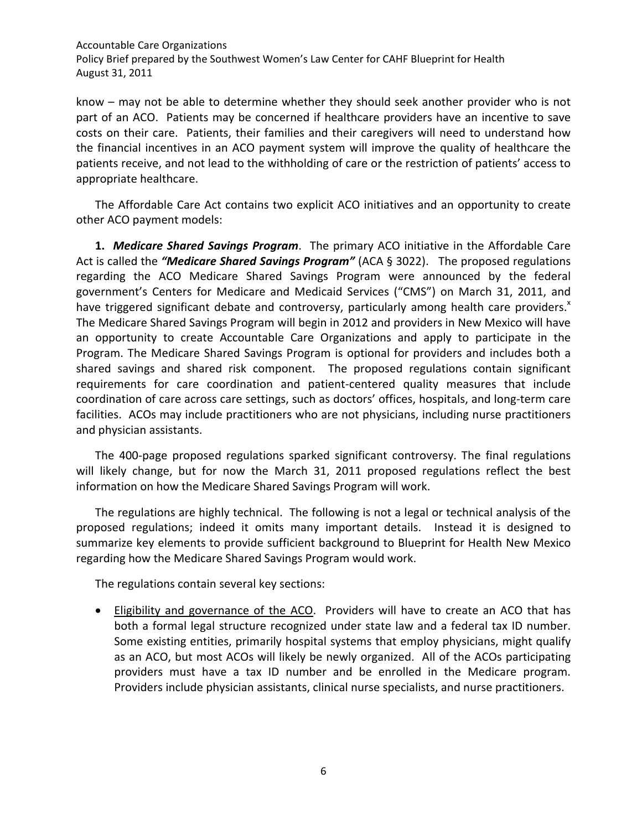know – may not be able to determine whether they should seek another provider who is not part of an ACO. Patients may be concerned if healthcare providers have an incentive to save costs on their care. Patients, their families and their caregivers will need to understand how the financial incentives in an ACO payment system will improve the quality of healthcare the patients receive, and not lead to the withholding of care or the restriction of patients' access to appropriate healthcare.

The Affordable Care Act contains two explicit ACO initiatives and an opportunity to create other ACO payment models:

**1.** *Medicare Shared Savings Program*. The primary ACO initiative in the Affordable Care Act is called the *"Medicare Shared Savings Program"* (ACA § 3022). The proposed regulations regarding the ACO Medicare Shared Savings Program were announced by the federal government's Centers for Medicare and Medicaid Services ("CMS") on March 31, 2011, and have triggered significant debate and controversy, particularly among health care providers. $x$ The Medicare Shared Savings Program will begin in 2012 and providers in New Mexico will have an opportunity to create Accountable Care Organizations and apply to participate in the Program. The Medicare Shared Savings Program is optional for providers and includes both a shared savings and shared risk component. The proposed regulations contain significant requirements for care coordination and patient-centered quality measures that include coordination of care across care settings, such as doctors' offices, hospitals, and long-term care facilities. ACOs may include practitioners who are not physicians, including nurse practitioners and physician assistants.

The 400-page proposed regulations sparked significant controversy. The final regulations will likely change, but for now the March 31, 2011 proposed regulations reflect the best information on how the Medicare Shared Savings Program will work.

The regulations are highly technical. The following is not a legal or technical analysis of the proposed regulations; indeed it omits many important details. Instead it is designed to summarize key elements to provide sufficient background to Blueprint for Health New Mexico regarding how the Medicare Shared Savings Program would work.

The regulations contain several key sections:

• Eligibility and governance of the ACO. Providers will have to create an ACO that has both a formal legal structure recognized under state law and a federal tax ID number. Some existing entities, primarily hospital systems that employ physicians, might qualify as an ACO, but most ACOs will likely be newly organized. All of the ACOs participating providers must have a tax ID number and be enrolled in the Medicare program. Providers include physician assistants, clinical nurse specialists, and nurse practitioners.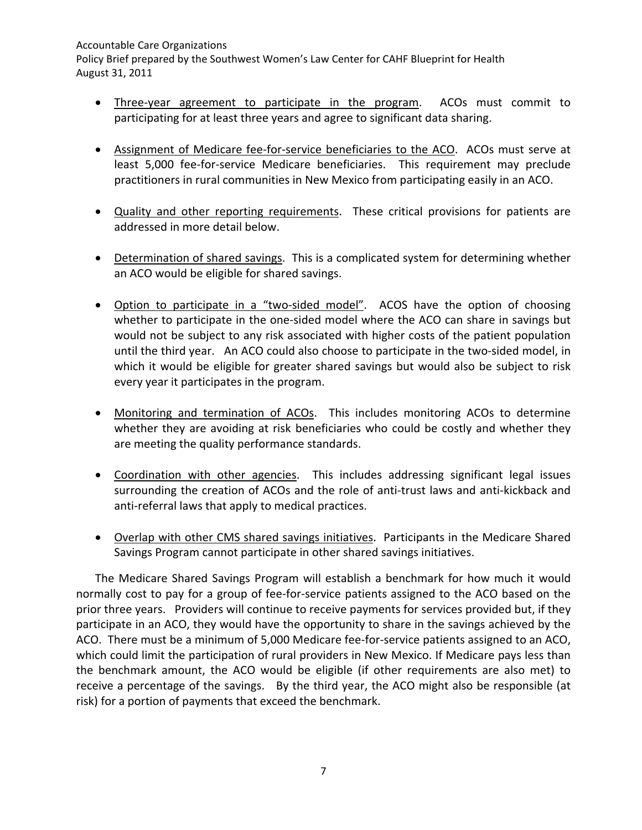Policy Brief prepared by the Southwest Women's Law Center for CAHF Blueprint for Health August 31, 2011

- Three-year agreement to participate in the program. ACOs must commit to participating for at least three years and agree to significant data sharing.
- Assignment of Medicare fee-for-service beneficiaries to the ACO. ACOs must serve at least 5,000 fee-for-service Medicare beneficiaries. This requirement may preclude practitioners in rural communities in New Mexico from participating easily in an ACO.
- Quality and other reporting requirements. These critical provisions for patients are addressed in more detail below.
- Determination of shared savings. This is a complicated system for determining whether an ACO would be eligible for shared savings.
- Option to participate in a "two-sided model". ACOS have the option of choosing whether to participate in the one-sided model where the ACO can share in savings but would not be subject to any risk associated with higher costs of the patient population until the third year. An ACO could also choose to participate in the two-sided model, in which it would be eligible for greater shared savings but would also be subject to risk every year it participates in the program.
- Monitoring and termination of ACOs. This includes monitoring ACOs to determine whether they are avoiding at risk beneficiaries who could be costly and whether they are meeting the quality performance standards.
- Coordination with other agencies. This includes addressing significant legal issues surrounding the creation of ACOs and the role of anti-trust laws and anti-kickback and anti-referral laws that apply to medical practices.
- Overlap with other CMS shared savings initiatives. Participants in the Medicare Shared Savings Program cannot participate in other shared savings initiatives.

The Medicare Shared Savings Program will establish a benchmark for how much it would normally cost to pay for a group of fee-for-service patients assigned to the ACO based on the prior three years. Providers will continue to receive payments for services provided but, if they participate in an ACO, they would have the opportunity to share in the savings achieved by the ACO. There must be a minimum of 5,000 Medicare fee-for-service patients assigned to an ACO, which could limit the participation of rural providers in New Mexico. If Medicare pays less than the benchmark amount, the ACO would be eligible (if other requirements are also met) to receive a percentage of the savings. By the third year, the ACO might also be responsible (at risk) for a portion of payments that exceed the benchmark.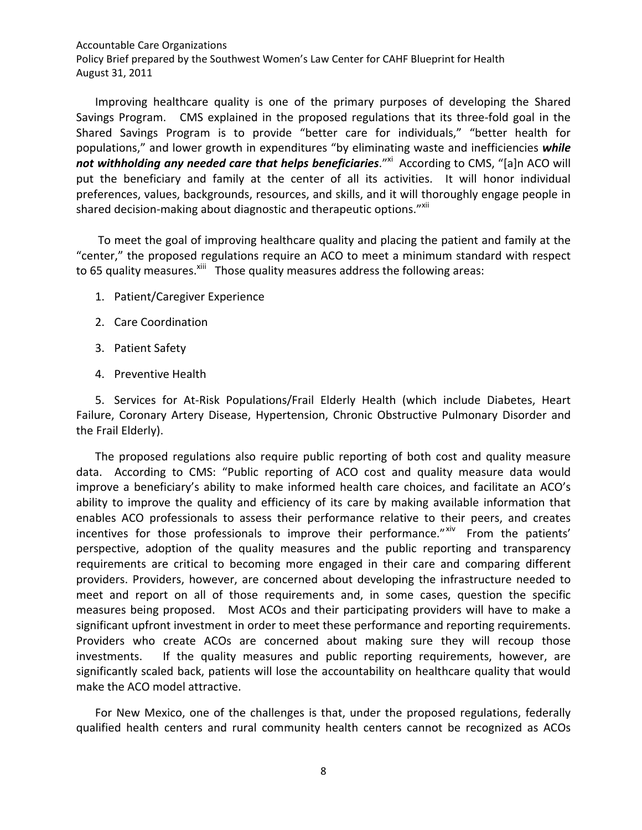Policy Brief prepared by the Southwest Women's Law Center for CAHF Blueprint for Health August 31, 2011

Improving healthcare quality is one of the primary purposes of developing the Shared Savings Program. CMS explained in the proposed regulations that its three-fold goal in the Shared Savings Program is to provide "better care for individuals," "better health for populations," and lower growth in expenditures "by eliminating waste and inefficiencies *while*  not withholding any needed care that helps beneficiaries."<sup>xi</sup> According to CMS, "[a]n ACO will put the beneficiary and family at the center of all its activities. It will honor individual preferences, values, backgrounds, resources, and skills, and it will thoroughly engage people in shared decision-making about diagnostic and therapeutic options."XII

To meet the goal of improving healthcare quality and placing the patient and family at the "center," the proposed regulations require an ACO to meet a minimum standard with respect to 65 quality measures.<sup>xiii</sup> Those quality measures address the following areas:

- 1. Patient/Caregiver Experience
- 2. Care Coordination
- 3. Patient Safety
- 4. Preventive Health

5. Services for At-Risk Populations/Frail Elderly Health (which include Diabetes, Heart Failure, Coronary Artery Disease, Hypertension, Chronic Obstructive Pulmonary Disorder and the Frail Elderly).

The proposed regulations also require public reporting of both cost and quality measure data. According to CMS: "Public reporting of ACO cost and quality measure data would improve a beneficiary's ability to make informed health care choices, and facilitate an ACO's ability to improve the quality and efficiency of its care by making available information that enables ACO professionals to assess their performance relative to their peers, and creates incentives for those professionals to improve their performance." Xiv From the patients' perspective, adoption of the quality measures and the public reporting and transparency requirements are critical to becoming more engaged in their care and comparing different providers. Providers, however, are concerned about developing the infrastructure needed to meet and report on all of those requirements and, in some cases, question the specific measures being proposed. Most ACOs and their participating providers will have to make a significant upfront investment in order to meet these performance and reporting requirements. Providers who create ACOs are concerned about making sure they will recoup those investments. If the quality measures and public reporting requirements, however, are significantly scaled back, patients will lose the accountability on healthcare quality that would make the ACO model attractive.

For New Mexico, one of the challenges is that, under the proposed regulations, federally qualified health centers and rural community health centers cannot be recognized as ACOs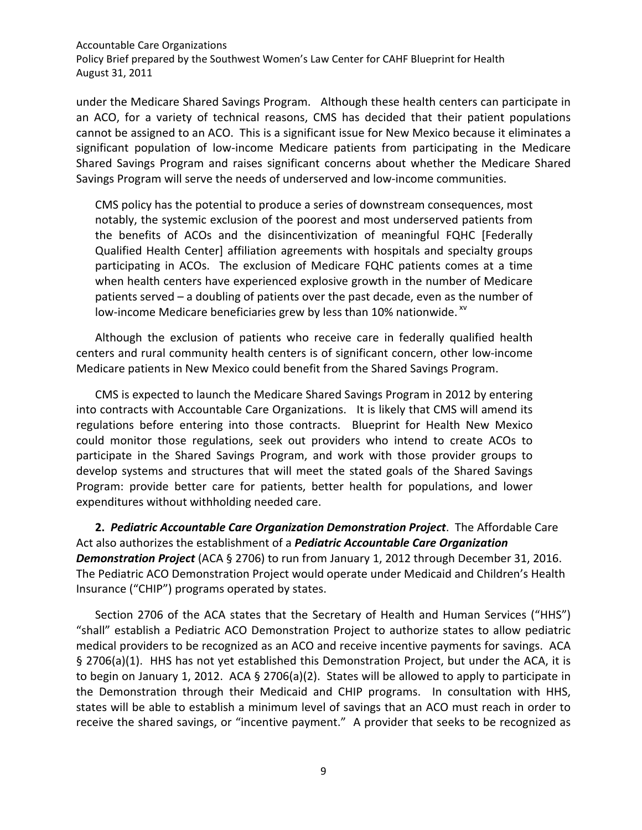Policy Brief prepared by the Southwest Women's Law Center for CAHF Blueprint for Health August 31, 2011

under the Medicare Shared Savings Program. Although these health centers can participate in an ACO, for a variety of technical reasons, CMS has decided that their patient populations cannot be assigned to an ACO. This is a significant issue for New Mexico because it eliminates a significant population of low-income Medicare patients from participating in the Medicare Shared Savings Program and raises significant concerns about whether the Medicare Shared Savings Program will serve the needs of underserved and low-income communities.

CMS policy has the potential to produce a series of downstream consequences, most notably, the systemic exclusion of the poorest and most underserved patients from the benefits of ACOs and the disincentivization of meaningful FQHC [Federally Qualified Health Center] affiliation agreements with hospitals and specialty groups participating in ACOs. The exclusion of Medicare FQHC patients comes at a time when health centers have experienced explosive growth in the number of Medicare patients served – a doubling of patients over the past decade, even as the number of low-income Medicare beneficiaries grew by less than 10% nationwide.<sup>xv</sup>

Although the exclusion of patients who receive care in federally qualified health centers and rural community health centers is of significant concern, other low-income Medicare patients in New Mexico could benefit from the Shared Savings Program.

CMS is expected to launch the Medicare Shared Savings Program in 2012 by entering into contracts with Accountable Care Organizations. It is likely that CMS will amend its regulations before entering into those contracts. Blueprint for Health New Mexico could monitor those regulations, seek out providers who intend to create ACOs to participate in the Shared Savings Program, and work with those provider groups to develop systems and structures that will meet the stated goals of the Shared Savings Program: provide better care for patients, better health for populations, and lower expenditures without withholding needed care.

**2.** *Pediatric Accountable Care Organization Demonstration Project*. The Affordable Care Act also authorizes the establishment of a *Pediatric Accountable Care Organization Demonstration Project* (ACA § 2706) to run from January 1, 2012 through December 31, 2016. The Pediatric ACO Demonstration Project would operate under Medicaid and Children's Health Insurance ("CHIP") programs operated by states.

Section 2706 of the ACA states that the Secretary of Health and Human Services ("HHS") "shall" establish a Pediatric ACO Demonstration Project to authorize states to allow pediatric medical providers to be recognized as an ACO and receive incentive payments for savings. ACA § 2706(a)(1). HHS has not yet established this Demonstration Project, but under the ACA, it is to begin on January 1, 2012. ACA § 2706(a)(2). States will be allowed to apply to participate in the Demonstration through their Medicaid and CHIP programs. In consultation with HHS, states will be able to establish a minimum level of savings that an ACO must reach in order to receive the shared savings, or "incentive payment." A provider that seeks to be recognized as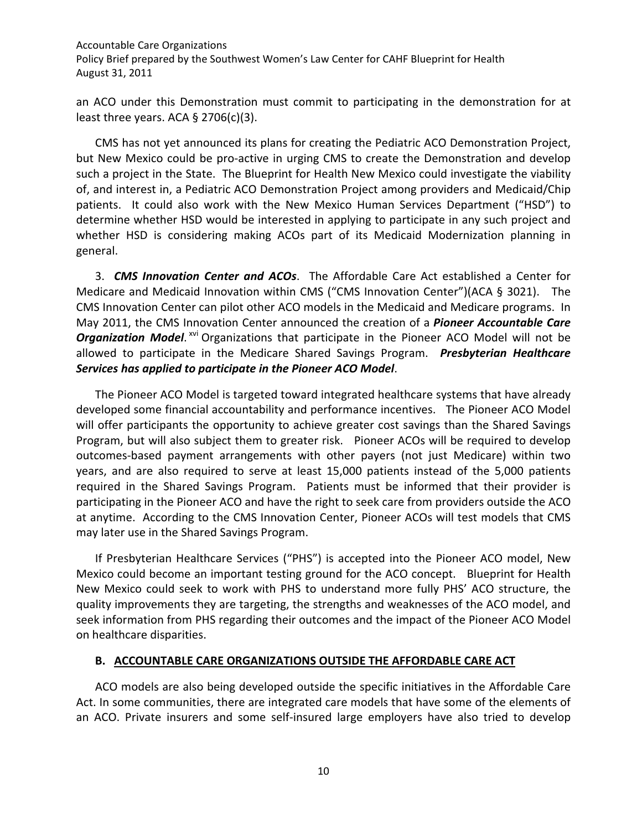an ACO under this Demonstration must commit to participating in the demonstration for at least three years. ACA  $\S$  2706(c)(3).

CMS has not yet announced its plans for creating the Pediatric ACO Demonstration Project, but New Mexico could be pro-active in urging CMS to create the Demonstration and develop such a project in the State. The Blueprint for Health New Mexico could investigate the viability of, and interest in, a Pediatric ACO Demonstration Project among providers and Medicaid/Chip patients. It could also work with the New Mexico Human Services Department ("HSD") to determine whether HSD would be interested in applying to participate in any such project and whether HSD is considering making ACOs part of its Medicaid Modernization planning in general.

3. *CMS Innovation Center and ACOs*. The Affordable Care Act established a Center for Medicare and Medicaid Innovation within CMS ("CMS Innovation Center")(ACA § 3021). The CMS Innovation Center can pilot other ACO models in the Medicaid and Medicare programs. In May 2011, the CMS Innovation Center announced the creation of a *Pioneer Accountable Care*  **Organization Model.** XVI Organizations that participate in the Pioneer ACO Model will not be allowed to participate in the Medicare Shared Savings Program. *Presbyterian Healthcare Services has applied to participate in the Pioneer ACO Model*.

The Pioneer ACO Model is targeted toward integrated healthcare systems that have already developed some financial accountability and performance incentives. The Pioneer ACO Model will offer participants the opportunity to achieve greater cost savings than the Shared Savings Program, but will also subject them to greater risk. Pioneer ACOs will be required to develop outcomes-based payment arrangements with other payers (not just Medicare) within two years, and are also required to serve at least 15,000 patients instead of the 5,000 patients required in the Shared Savings Program. Patients must be informed that their provider is participating in the Pioneer ACO and have the right to seek care from providers outside the ACO at anytime. According to the CMS Innovation Center, Pioneer ACOs will test models that CMS may later use in the Shared Savings Program.

If Presbyterian Healthcare Services ("PHS") is accepted into the Pioneer ACO model, New Mexico could become an important testing ground for the ACO concept. Blueprint for Health New Mexico could seek to work with PHS to understand more fully PHS' ACO structure, the quality improvements they are targeting, the strengths and weaknesses of the ACO model, and seek information from PHS regarding their outcomes and the impact of the Pioneer ACO Model on healthcare disparities.

#### <span id="page-11-0"></span>**B. ACCOUNTABLE CARE ORGANIZATIONS OUTSIDE THE AFFORDABLE CARE ACT**

ACO models are also being developed outside the specific initiatives in the Affordable Care Act. In some communities, there are integrated care models that have some of the elements of an ACO. Private insurers and some self-insured large employers have also tried to develop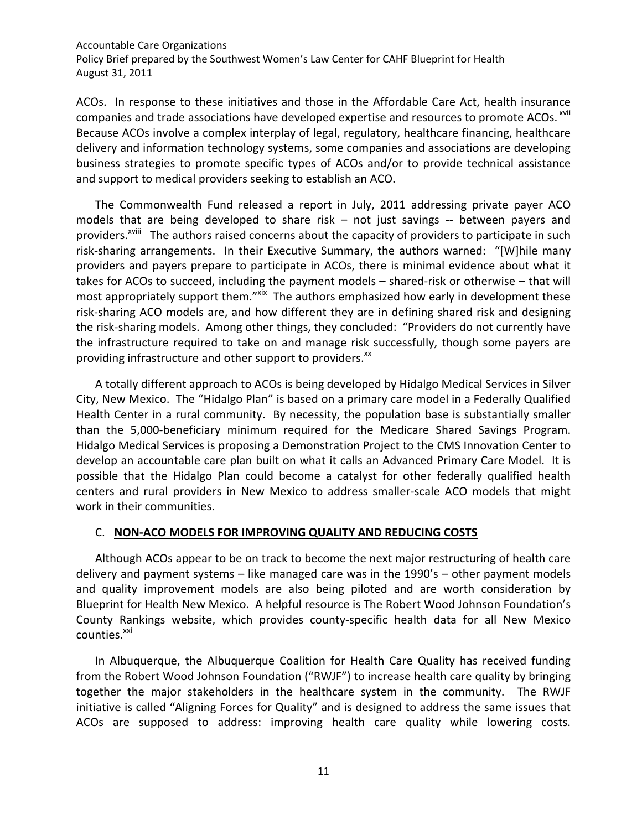Policy Brief prepared by the Southwest Women's Law Center for CAHF Blueprint for Health August 31, 2011

ACOs. In response to these initiatives and those in the Affordable Care Act, health insurance companies and trade associations have developed expertise and resources to promote ACOs.<sup>xvii</sup> Because ACOs involve a complex interplay of legal, regulatory, healthcare financing, healthcare delivery and information technology systems, some companies and associations are developing business strategies to promote specific types of ACOs and/or to provide technical assistance and support to medical providers seeking to establish an ACO.

The Commonwealth Fund released a report in July, 2011 addressing private payer ACO models that are being developed to share risk – not just savings -- between payers and providers.<sup>XVIII</sup> The authors raised concerns about the capacity of providers to participate in such risk-sharing arrangements. In their Executive Summary, the authors warned: "[W]hile many providers and payers prepare to participate in ACOs, there is minimal evidence about what it takes for ACOs to succeed, including the payment models – shared-risk or otherwise – that will most appropriately support them."<sup>xix</sup> The authors emphasized how early in development these risk-sharing ACO models are, and how different they are in defining shared risk and designing the risk-sharing models. Among other things, they concluded: "Providers do not currently have the infrastructure required to take on and manage risk successfully, though some payers are providing infrastructure and other support to providers.<sup>xx</sup>

A totally different approach to ACOs is being developed by Hidalgo Medical Services in Silver City, New Mexico. The "Hidalgo Plan" is based on a primary care model in a Federally Qualified Health Center in a rural community. By necessity, the population base is substantially smaller than the 5,000-beneficiary minimum required for the Medicare Shared Savings Program. Hidalgo Medical Services is proposing a Demonstration Project to the CMS Innovation Center to develop an accountable care plan built on what it calls an Advanced Primary Care Model. It is possible that the Hidalgo Plan could become a catalyst for other federally qualified health centers and rural providers in New Mexico to address smaller-scale ACO models that might work in their communities.

#### <span id="page-12-0"></span>C. **NON-ACO MODELS FOR IMPROVING QUALITY AND REDUCING COSTS**

Although ACOs appear to be on track to become the next major restructuring of health care delivery and payment systems – like managed care was in the 1990's – other payment models and quality improvement models are also being piloted and are worth consideration by Blueprint for Health New Mexico. A helpful resource is The Robert Wood Johnson Foundation's County Rankings website, which provides county-specific health data for all New Mexico counties.<sup>xxi</sup>

In Albuquerque, the Albuquerque Coalition for Health Care Quality has received funding from the Robert Wood Johnson Foundation ("RWJF") to increase health care quality by bringing together the major stakeholders in the healthcare system in the community. The RWJF initiative is called "Aligning Forces for Quality" and is designed to address the same issues that ACOs are supposed to address: improving health care quality while lowering costs.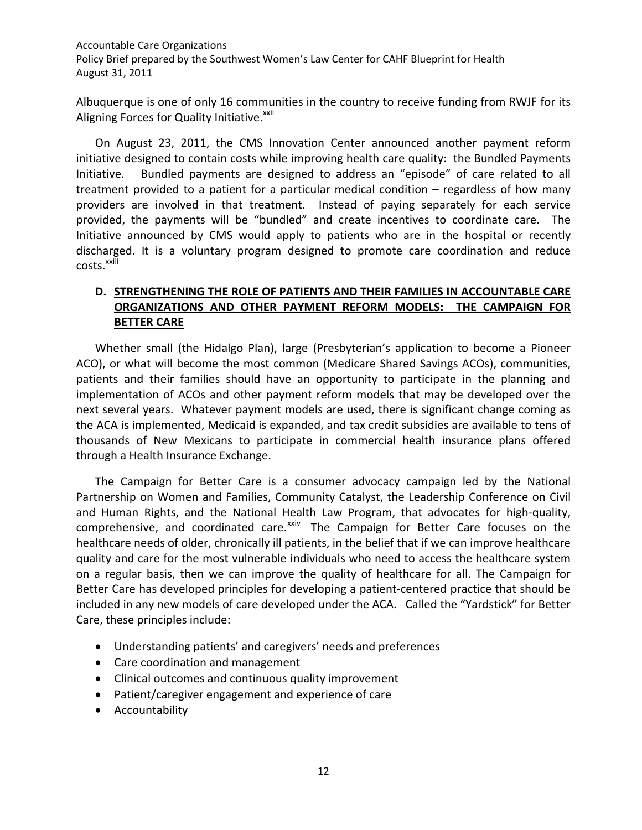Albuquerque is one of only 16 communities in the country to receive funding from RWJF for its Aligning Forces for Quality Initiative.<sup>xxii</sup>

On August 23, 2011, the CMS Innovation Center announced another payment reform initiative designed to contain costs while improving health care quality: the Bundled Payments Initiative. Bundled payments are designed to address an "episode" of care related to all treatment provided to a patient for a particular medical condition – regardless of how many providers are involved in that treatment. Instead of paying separately for each service provided, the payments will be "bundled" and create incentives to coordinate care. The Initiative announced by CMS would apply to patients who are in the hospital or recently discharged. It is a voluntary program designed to promote care coordination and reduce costs.<sup>xxiii</sup>

## <span id="page-13-0"></span>**D. STRENGTHENING THE ROLE OF PATIENTS AND THEIR FAMILIES IN ACCOUNTABLE CARE ORGANIZATIONS AND OTHER PAYMENT REFORM MODELS: THE CAMPAIGN FOR BETTER CARE**

Whether small (the Hidalgo Plan), large (Presbyterian's application to become a Pioneer ACO), or what will become the most common (Medicare Shared Savings ACOs), communities, patients and their families should have an opportunity to participate in the planning and implementation of ACOs and other payment reform models that may be developed over the next several years. Whatever payment models are used, there is significant change coming as the ACA is implemented, Medicaid is expanded, and tax credit subsidies are available to tens of thousands of New Mexicans to participate in commercial health insurance plans offered through a Health Insurance Exchange.

The Campaign for Better Care is a consumer advocacy campaign led by the National Partnership on Women and Families, Community Catalyst, the Leadership Conference on Civil and Human Rights, and the National Health Law Program, that advocates for high-quality, comprehensive, and coordinated care.<sup>xxiv</sup> The Campaign for Better Care focuses on the healthcare needs of older, chronically ill patients, in the belief that if we can improve healthcare quality and care for the most vulnerable individuals who need to access the healthcare system on a regular basis, then we can improve the quality of healthcare for all. The Campaign for Better Care has developed principles for developing a patient-centered practice that should be included in any new models of care developed under the ACA. Called the "Yardstick" for Better Care, these principles include:

- Understanding patients' and caregivers' needs and preferences
- Care coordination and management
- Clinical outcomes and continuous quality improvement
- Patient/caregiver engagement and experience of care
- Accountability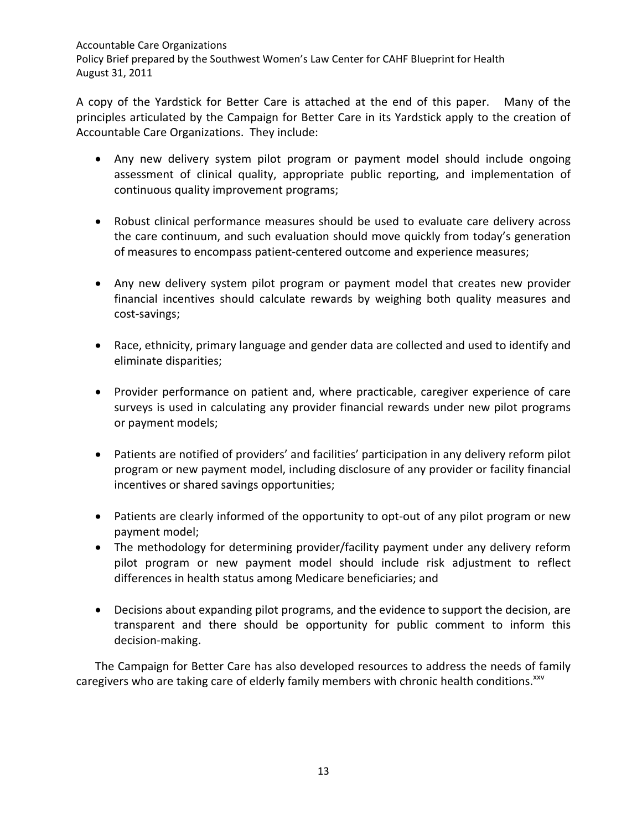A copy of the Yardstick for Better Care is attached at the end of this paper. Many of the principles articulated by the Campaign for Better Care in its Yardstick apply to the creation of Accountable Care Organizations. They include:

- Any new delivery system pilot program or payment model should include ongoing assessment of clinical quality, appropriate public reporting, and implementation of continuous quality improvement programs;
- Robust clinical performance measures should be used to evaluate care delivery across the care continuum, and such evaluation should move quickly from today's generation of measures to encompass patient-centered outcome and experience measures;
- Any new delivery system pilot program or payment model that creates new provider financial incentives should calculate rewards by weighing both quality measures and cost-savings;
- Race, ethnicity, primary language and gender data are collected and used to identify and eliminate disparities;
- Provider performance on patient and, where practicable, caregiver experience of care surveys is used in calculating any provider financial rewards under new pilot programs or payment models;
- Patients are notified of providers' and facilities' participation in any delivery reform pilot program or new payment model, including disclosure of any provider or facility financial incentives or shared savings opportunities;
- Patients are clearly informed of the opportunity to opt-out of any pilot program or new payment model;
- The methodology for determining provider/facility payment under any delivery reform pilot program or new payment model should include risk adjustment to reflect differences in health status among Medicare beneficiaries; and
- Decisions about expanding pilot programs, and the evidence to support the decision, are transparent and there should be opportunity for public comment to inform this decision-making.

The Campaign for Better Care has also developed resources to address the needs of family caregivers who are taking care of elderly family members with chronic health conditions.<sup>xxv</sup>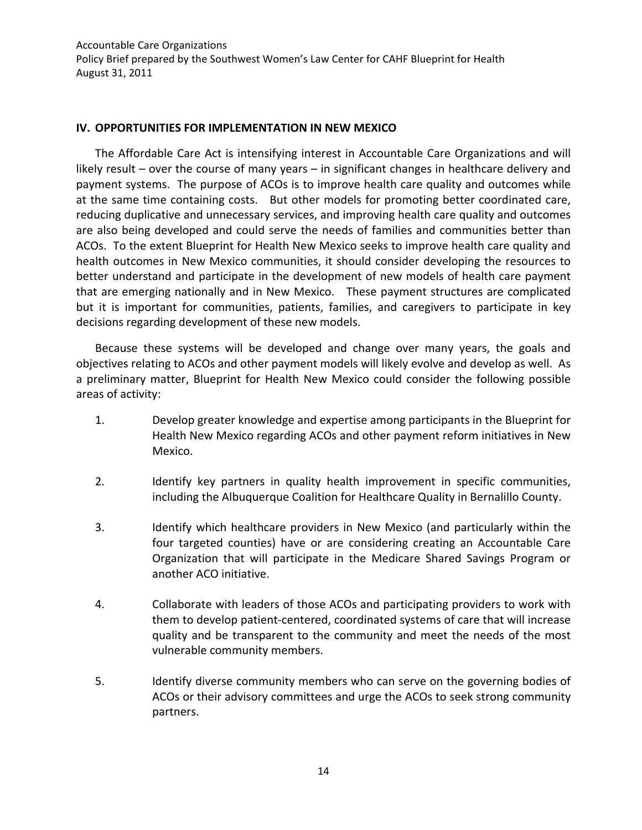#### <span id="page-15-0"></span>**IV. OPPORTUNITIES FOR IMPLEMENTATION IN NEW MEXICO**

The Affordable Care Act is intensifying interest in Accountable Care Organizations and will likely result – over the course of many years – in significant changes in healthcare delivery and payment systems. The purpose of ACOs is to improve health care quality and outcomes while at the same time containing costs. But other models for promoting better coordinated care, reducing duplicative and unnecessary services, and improving health care quality and outcomes are also being developed and could serve the needs of families and communities better than ACOs. To the extent Blueprint for Health New Mexico seeks to improve health care quality and health outcomes in New Mexico communities, it should consider developing the resources to better understand and participate in the development of new models of health care payment that are emerging nationally and in New Mexico. These payment structures are complicated but it is important for communities, patients, families, and caregivers to participate in key decisions regarding development of these new models.

Because these systems will be developed and change over many years, the goals and objectives relating to ACOs and other payment models will likely evolve and develop as well. As a preliminary matter, Blueprint for Health New Mexico could consider the following possible areas of activity:

- 1. Develop greater knowledge and expertise among participants in the Blueprint for Health New Mexico regarding ACOs and other payment reform initiatives in New Mexico.
- 2. Identify key partners in quality health improvement in specific communities, including the Albuquerque Coalition for Healthcare Quality in Bernalillo County.
- 3. Identify which healthcare providers in New Mexico (and particularly within the four targeted counties) have or are considering creating an Accountable Care Organization that will participate in the Medicare Shared Savings Program or another ACO initiative.
- 4. Collaborate with leaders of those ACOs and participating providers to work with them to develop patient-centered, coordinated systems of care that will increase quality and be transparent to the community and meet the needs of the most vulnerable community members.
- 5. Identify diverse community members who can serve on the governing bodies of ACOs or their advisory committees and urge the ACOs to seek strong community partners.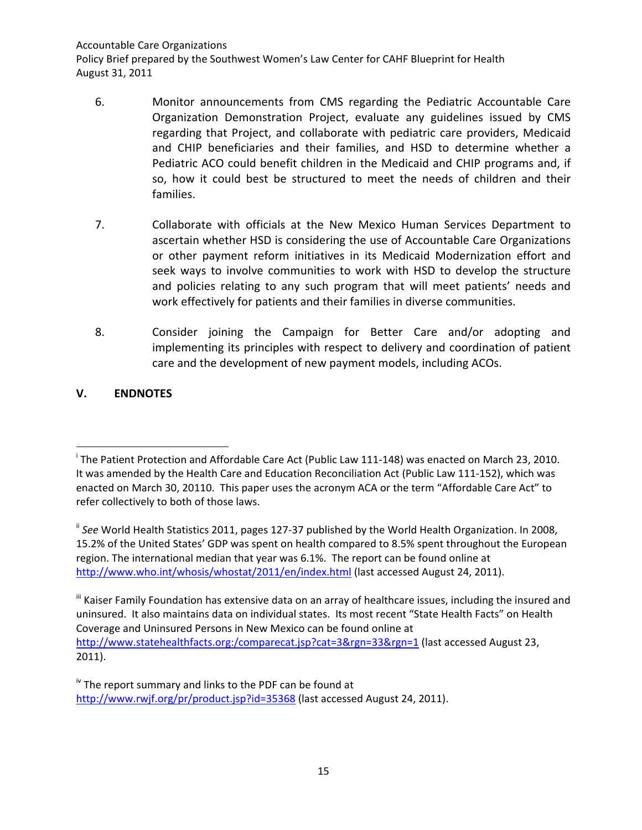- 6. Monitor announcements from CMS regarding the Pediatric Accountable Care Organization Demonstration Project, evaluate any guidelines issued by CMS regarding that Project, and collaborate with pediatric care providers, Medicaid and CHIP beneficiaries and their families, and HSD to determine whether a Pediatric ACO could benefit children in the Medicaid and CHIP programs and, if so, how it could best be structured to meet the needs of children and their families.
- 7. Collaborate with officials at the New Mexico Human Services Department to ascertain whether HSD is considering the use of Accountable Care Organizations or other payment reform initiatives in its Medicaid Modernization effort and seek ways to involve communities to work with HSD to develop the structure and policies relating to any such program that will meet patients' needs and work effectively for patients and their families in diverse communities.
- 8. Consider joining the Campaign for Better Care and/or adopting and implementing its principles with respect to delivery and coordination of patient care and the development of new payment models, including ACOs.

## **V. ENDNOTES**

i The Patient Protection and Affordable Care Act (Public Law 111-148) was enacted on March 23, 2010. It was amended by the Health Care and Education Reconciliation Act (Public Law 111-152), which was enacted on March 30, 20110. This paper uses the acronym ACA or the term "Affordable Care Act" to refer collectively to both of those laws.

<sup>&</sup>lt;sup>ii</sup> See World Health Statistics 2011, pages 127-37 published by the World Health Organization. In 2008, 15.2% of the United States' GDP was spent on health compared to 8.5% spent throughout the European region. The international median that year was 6.1%. The report can be found online at <http://www.who.int/whosis/whostat/2011/en/index.html> (last accessed August 24, 2011).

<sup>&</sup>quot; Kaiser Family Foundation has extensive data on an array of healthcare issues, including the insured and uninsured. It also maintains data on individual states. Its most recent "State Health Facts" on Health Coverage and Uninsured Persons in New Mexico can be found online at [http://www.statehealthfacts.org:/comparecat.jsp?cat=3&rgn=33&rgn=1](http://www.statehealthfacts.org/comparecat.jsp?cat=3&rgn=33&rgn=1) (last accessed August 23, 2011).

 $\frac{1}{10}$  The report summary and links to the PDF can be found at <http://www.rwjf.org/pr/product.jsp?id=35368> (last accessed August 24, 2011).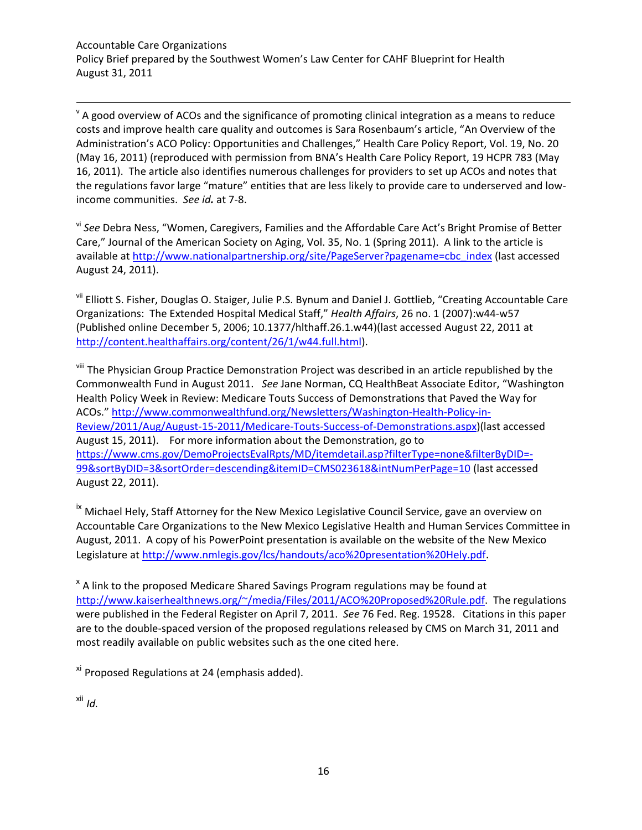$\theta$  A good overview of ACOs and the significance of promoting clinical integration as a means to reduce costs and improve health care quality and outcomes is Sara Rosenbaum's article, "An Overview of the Administration's ACO Policy: Opportunities and Challenges," Health Care Policy Report, Vol. 19, No. 20 (May 16, 2011) (reproduced with permission from BNA's Health Care Policy Report, 19 HCPR 783 (May 16, 2011). The article also identifies numerous challenges for providers to set up ACOs and notes that the regulations favor large "mature" entities that are less likely to provide care to underserved and lowincome communities. *See id.* at 7-8.

vi *See* Debra Ness, "Women, Caregivers, Families and the Affordable Care Act's Bright Promise of Better Care," Journal of the American Society on Aging, Vol. 35, No. 1 (Spring 2011). A link to the article is available a[t http://www.nationalpartnership.org/site/PageServer?pagename=cbc\\_index](http://www.nationalpartnership.org/site/PageServer?pagename=cbc_index) (last accessed August 24, 2011).

vii Elliott S. Fisher, Douglas O. Staiger, Julie P.S. Bynum and Daniel J. Gottlieb, "Creating Accountable Care Organizations: The Extended Hospital Medical Staff," *Health Affairs*, 26 no. 1 (2007):w44-w57 (Published online December 5, 2006; 10.1377/hlthaff.26.1.w44)(last accessed August 22, 2011 at <http://content.healthaffairs.org/content/26/1/w44.full.html>).

<sup>viii</sup> The Physician Group Practice Demonstration Project was described in an article republished by the Commonwealth Fund in August 2011. *See* Jane Norman, CQ HealthBeat Associate Editor, "Washington Health Policy Week in Review: Medicare Touts Success of Demonstrations that Paved the Way for ACOs.[" http://www.commonwealthfund.org/Newsletters/Washington-Health-Policy-in-](http://www.commonwealthfund.org/Newsletters/Washington-Health-Policy-in-Review/2011/Aug/August-15-2011/Medicare-Touts-Success-of-Demonstrations.aspx)[Review/2011/Aug/August-15-2011/Medicare-Touts-Success-of-Demonstrations.aspx](http://www.commonwealthfund.org/Newsletters/Washington-Health-Policy-in-Review/2011/Aug/August-15-2011/Medicare-Touts-Success-of-Demonstrations.aspx))(last accessed August 15, 2011). For more information about the Demonstration, go to [https://www.cms.gov/DemoProjectsEvalRpts/MD/itemdetail.asp?filterType=none&filterByDID=-](https://www.cms.gov/DemoProjectsEvalRpts/MD/itemdetail.asp?filterType=none&filterByDID=-99&sortByDID=3&sortOrder=descending&itemID=CMS023618&intNumPerPage=10) [99&sortByDID=3&sortOrder=descending&itemID=CMS023618&intNumPerPage=10](https://www.cms.gov/DemoProjectsEvalRpts/MD/itemdetail.asp?filterType=none&filterByDID=-99&sortByDID=3&sortOrder=descending&itemID=CMS023618&intNumPerPage=10) (last accessed August 22, 2011).

<sup>ix</sup> Michael Hely, Staff Attorney for the New Mexico Legislative Council Service, gave an overview on Accountable Care Organizations to the New Mexico Legislative Health and Human Services Committee in August, 2011. A copy of his PowerPoint presentation is available on the website of the New Mexico Legislature a[t http://www.nmlegis.gov/lcs/handouts/aco%20presentation%20Hely.pdf](http://www.nmlegis.gov/lcs/handouts/aco%20presentation%20Hely.pdf).

<sup>x</sup> A link to the proposed Medicare Shared Savings Program regulations may be found at <http://www.kaiserhealthnews.org/~/media/Files/2011/ACO%20Proposed%20Rule.pdf>. The regulations were published in the Federal Register on April 7, 2011. *See* 76 Fed. Reg. 19528. Citations in this paper are to the double-spaced version of the proposed regulations released by CMS on March 31, 2011 and most readily available on public websites such as the one cited here.

xi Proposed Regulations at 24 (emphasis added).

xii *Id.*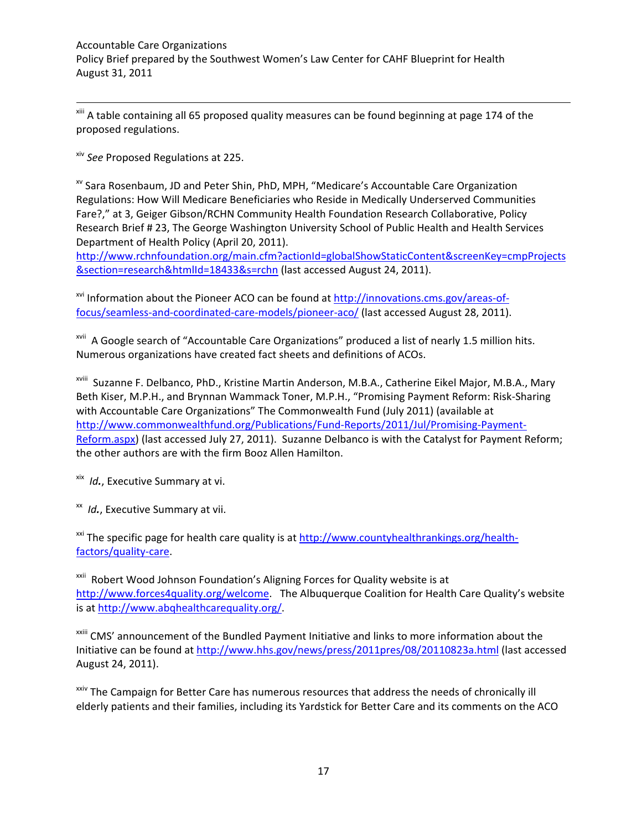<sup>xiii</sup> A table containing all 65 proposed quality measures can be found beginning at page 174 of the proposed regulations.

xiv *See* Proposed Regulations at 225.

xv Sara Rosenbaum, JD and Peter Shin, PhD, MPH, "Medicare's Accountable Care Organization Regulations: How Will Medicare Beneficiaries who Reside in Medically Underserved Communities Fare?," at 3, Geiger Gibson/RCHN Community Health Foundation Research Collaborative, Policy Research Brief # 23, The George Washington University School of Public Health and Health Services Department of Health Policy (April 20, 2011).

[http://www.rchnfoundation.org/main.cfm?actionId=globalShowStaticContent&screenKey=cmpProjects](http://www.rchnfoundation.org/main.cfm?actionId=globalShowStaticContent&screenKey=cmpProjects§ion=research&htmlId=18433&s=rchn) [&section=research&htmlId=18433&s=rchn](http://www.rchnfoundation.org/main.cfm?actionId=globalShowStaticContent&screenKey=cmpProjects§ion=research&htmlId=18433&s=rchn) (last accessed August 24, 2011).

xvi Information about the Pioneer ACO can be found a[t http://innovations.cms.gov/areas-of](http://innovations.cms.gov/areas-of-focus/seamless-and-coordinated-care-models/pioneer-aco/)[focus/seamless-and-coordinated-care-models/pioneer-aco/](http://innovations.cms.gov/areas-of-focus/seamless-and-coordinated-care-models/pioneer-aco/) (last accessed August 28, 2011).

<sup>xvii</sup> A Google search of "Accountable Care Organizations" produced a list of nearly 1.5 million hits. Numerous organizations have created fact sheets and definitions of ACOs.

xviii Suzanne F. Delbanco, PhD., Kristine Martin Anderson, M.B.A., Catherine Eikel Major, M.B.A., Mary Beth Kiser, M.P.H., and Brynnan Wammack Toner, M.P.H., "Promising Payment Reform: Risk-Sharing with Accountable Care Organizations" The Commonwealth Fund (July 2011) (available at [http://www.commonwealthfund.org/Publications/Fund-Reports/2011/Jul/Promising-Payment-](http://www.commonwealthfund.org/Publications/Fund-Reports/2011/Jul/Promising-Payment-Reform.aspx)[Reform.aspx\)](http://www.commonwealthfund.org/Publications/Fund-Reports/2011/Jul/Promising-Payment-Reform.aspx) (last accessed July 27, 2011). Suzanne Delbanco is with the Catalyst for Payment Reform; the other authors are with the firm Booz Allen Hamilton.

xix *Id.*, Executive Summary at vi.

xx *Id.*, Executive Summary at vii.

<sup>xxi</sup> The specific page for health care quality is a[t http://www.countyhealthrankings.org/health](http://www.countyhealthrankings.org/health-factors/quality-care)[factors/quality-care.](http://www.countyhealthrankings.org/health-factors/quality-care)

xxii Robert Wood Johnson Foundation's Aligning Forces for Quality website is at [http://www.forces4quality.org/welcome.](http://www.forces4quality.org/welcome) The Albuquerque Coalition for Health Care Quality's website is a[t http://www.abqhealthcarequality.org/.](http://www.abqhealthcarequality.org/)

<sup>xxiii</sup> CMS' announcement of the Bundled Payment Initiative and links to more information about the Initiative can be found a[t http://www.hhs.gov/news/press/2011pres/08/20110823a.html](http://www.hhs.gov/news/press/2011pres/08/20110823a.html) (last accessed August 24, 2011).

xxiv The Campaign for Better Care has numerous resources that address the needs of chronically ill elderly patients and their families, including its Yardstick for Better Care and its comments on the ACO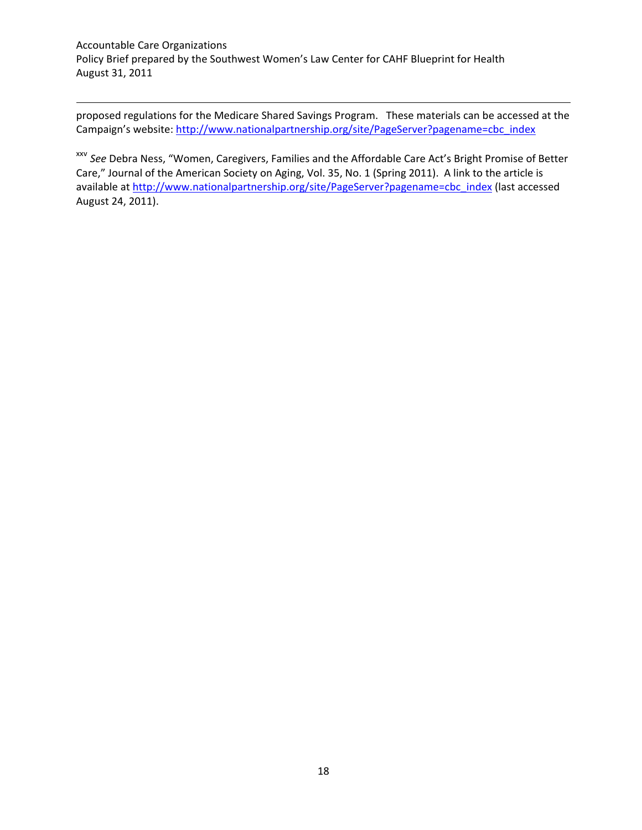$\overline{a}$ 

proposed regulations for the Medicare Shared Savings Program. These materials can be accessed at the Campaign's website[: http://www.nationalpartnership.org/site/PageServer?pagename=cbc\\_index](http://www.nationalpartnership.org/site/PageServer?pagename=cbc_index)

xxv *See* Debra Ness, "Women, Caregivers, Families and the Affordable Care Act's Bright Promise of Better Care," Journal of the American Society on Aging, Vol. 35, No. 1 (Spring 2011). A link to the article is available a[t http://www.nationalpartnership.org/site/PageServer?pagename=cbc\\_index](http://www.nationalpartnership.org/site/PageServer?pagename=cbc_index) (last accessed August 24, 2011).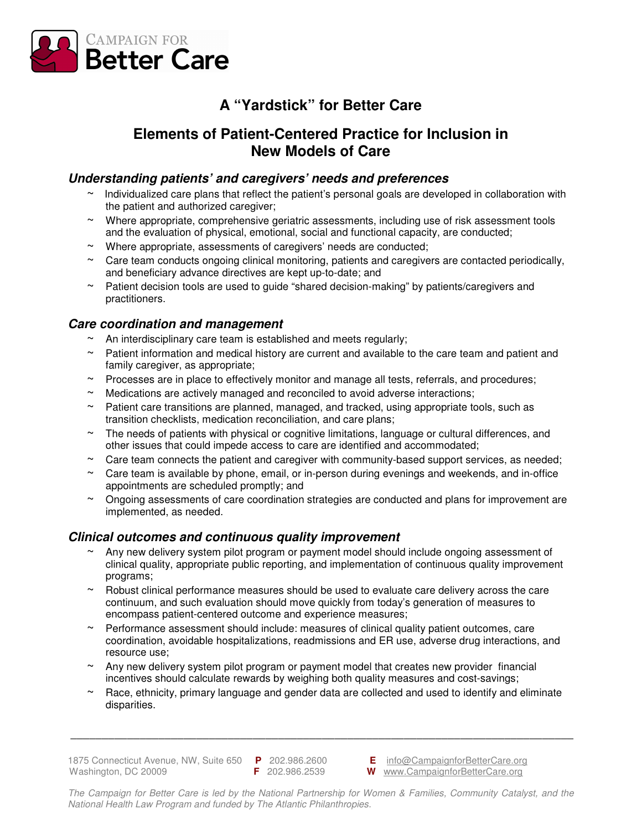

## **A "Yardstick" for Better Care**

## **Elements of Patient-Centered Practice for Inclusion in New Models of Care**

### **Understanding patients' and caregivers' needs and preferences**

- $\sim$  Individualized care plans that reflect the patient's personal goals are developed in collaboration with the patient and authorized caregiver;
- $\sim$  Where appropriate, comprehensive geriatric assessments, including use of risk assessment tools and the evaluation of physical, emotional, social and functional capacity, are conducted;
- ~ Where appropriate, assessments of caregivers' needs are conducted;
- $\sim$  Care team conducts ongoing clinical monitoring, patients and caregivers are contacted periodically, and beneficiary advance directives are kept up-to-date; and
- ~ Patient decision tools are used to guide "shared decision-making" by patients/caregivers and practitioners.

## **Care coordination and management**

- $\sim$  An interdisciplinary care team is established and meets regularly;
- $\sim$  Patient information and medical history are current and available to the care team and patient and family caregiver, as appropriate;
- ~ Processes are in place to effectively monitor and manage all tests, referrals, and procedures;
- $\sim$  Medications are actively managed and reconciled to avoid adverse interactions:
- Patient care transitions are planned, managed, and tracked, using appropriate tools, such as transition checklists, medication reconciliation, and care plans;
- $\sim$  The needs of patients with physical or cognitive limitations, language or cultural differences, and other issues that could impede access to care are identified and accommodated;
- $\sim$  Care team connects the patient and caregiver with community-based support services, as needed;
- Care team is available by phone, email, or in-person during evenings and weekends, and in-office appointments are scheduled promptly; and
- ~ Ongoing assessments of care coordination strategies are conducted and plans for improvement are implemented, as needed.

### **Clinical outcomes and continuous quality improvement**

- Any new delivery system pilot program or payment model should include ongoing assessment of clinical quality, appropriate public reporting, and implementation of continuous quality improvement programs;
- $\sim$  Robust clinical performance measures should be used to evaluate care delivery across the care continuum, and such evaluation should move quickly from today's generation of measures to encompass patient-centered outcome and experience measures;
- Performance assessment should include: measures of clinical quality patient outcomes, care coordination, avoidable hospitalizations, readmissions and ER use, adverse drug interactions, and resource use;
- ~ Any new delivery system pilot program or payment model that creates new provider financial incentives should calculate rewards by weighing both quality measures and cost-savings;
- ~ Race, ethnicity, primary language and gender data are collected and used to identify and eliminate disparities.

**\_\_\_\_\_\_\_\_\_\_\_\_\_\_\_\_\_\_\_\_\_\_\_\_\_\_\_\_\_\_\_\_\_\_\_\_\_\_\_\_\_\_\_\_\_\_\_\_\_\_\_\_\_\_\_\_\_\_\_\_\_\_\_\_\_\_\_\_\_\_\_\_\_\_\_\_\_\_\_\_** 

1875 Connecticut Avenue, NW, Suite 650 **P** 202.986.2600 **E** info@CampaignforBetterCare.org Washington, DC 20009 **F** 202.986.2539 **W** www.CampaignforBetterCare.org

The Campaign for Better Care is led by the National Partnership for Women & Families, Community Catalyst, and the National Health Law Program and funded by The Atlantic Philanthropies.